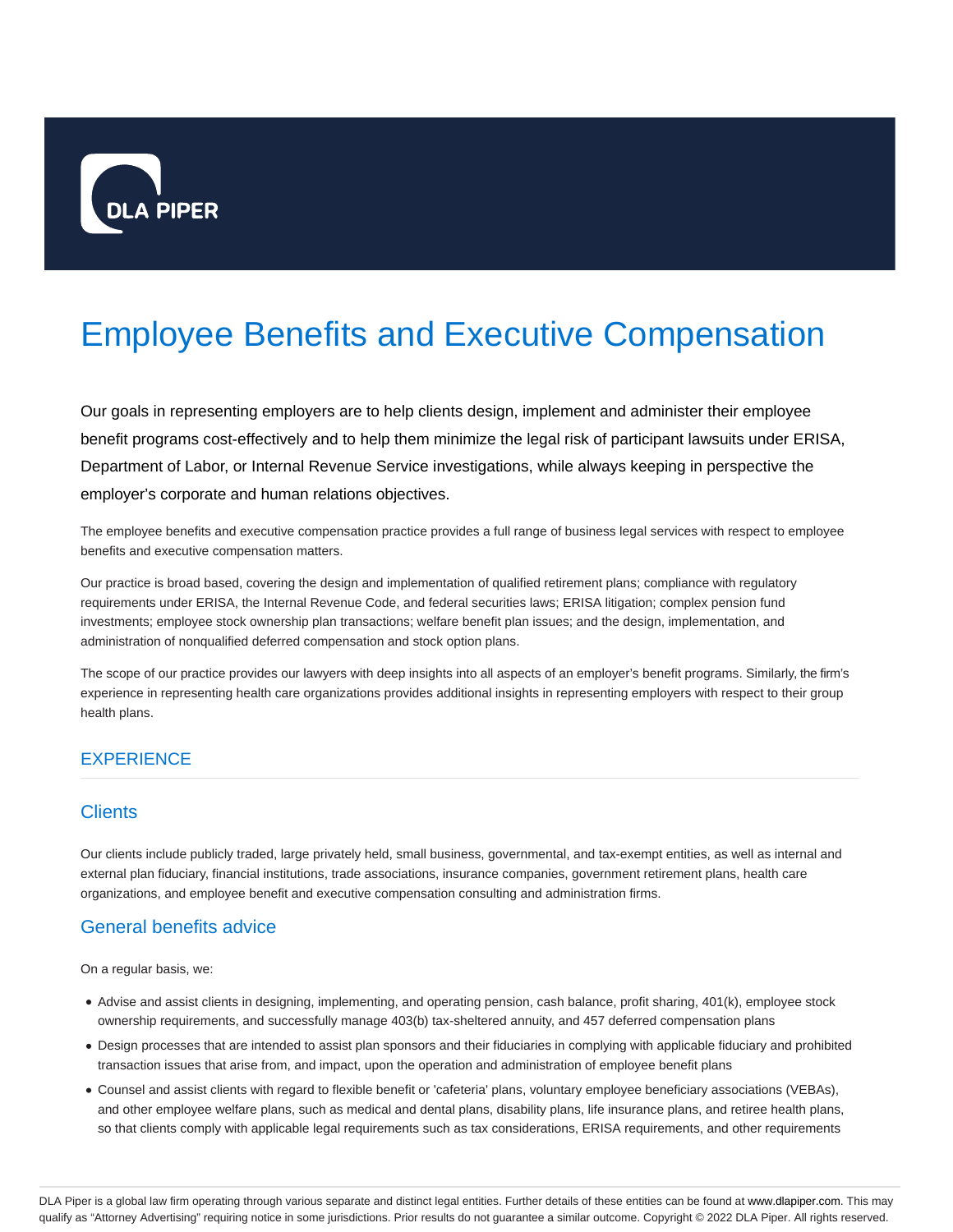

# Employee Benefits and Executive Compensation

Our goals in representing employers are to help clients design, implement and administer their employee benefit programs cost-effectively and to help them minimize the legal risk of participant lawsuits under ERISA, Department of Labor, or Internal Revenue Service investigations, while always keeping in perspective the employer's corporate and human relations objectives.

The employee benefits and executive compensation practice provides a full range of business legal services with respect to employee benefits and executive compensation matters.

Our practice is broad based, covering the design and implementation of qualified retirement plans; compliance with regulatory requirements under ERISA, the Internal Revenue Code, and federal securities laws; ERISA litigation; complex pension fund investments; employee stock ownership plan transactions; welfare benefit plan issues; and the design, implementation, and administration of nonqualified deferred compensation and stock option plans.

The scope of our practice provides our lawyers with deep insights into all aspects of an employer's benefit programs. Similarly, the firm's experience in representing health care organizations provides additional insights in representing employers with respect to their group health plans.

# **EXPERIENCE**

# **Clients**

Our clients include publicly traded, large privately held, small business, governmental, and tax-exempt entities, as well as internal and external plan fiduciary, financial institutions, trade associations, insurance companies, government retirement plans, health care organizations, and employee benefit and executive compensation consulting and administration firms.

## General benefits advice

On a regular basis, we:

- Advise and assist clients in designing, implementing, and operating pension, cash balance, profit sharing, 401(k), employee stock ownership requirements, and successfully manage 403(b) tax-sheltered annuity, and 457 deferred compensation plans
- Design processes that are intended to assist plan sponsors and their fiduciaries in complying with applicable fiduciary and prohibited transaction issues that arise from, and impact, upon the operation and administration of employee benefit plans
- Counsel and assist clients with regard to flexible benefit or 'cafeteria' plans, voluntary employee beneficiary associations (VEBAs), and other employee welfare plans, such as medical and dental plans, disability plans, life insurance plans, and retiree health plans, so that clients comply with applicable legal requirements such as tax considerations, ERISA requirements, and other requirements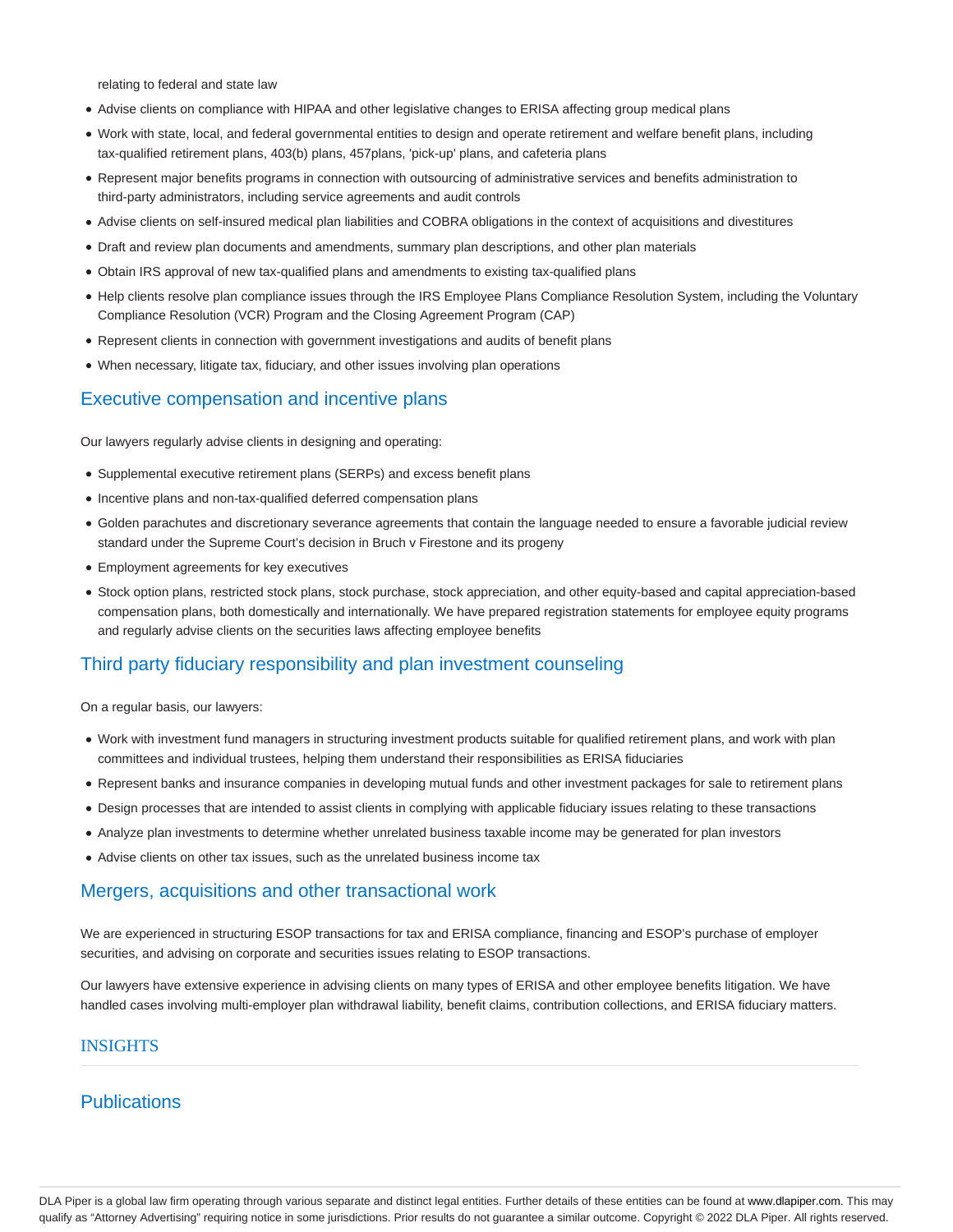relating to federal and state law

- Advise clients on compliance with HIPAA and other legislative changes to ERISA affecting group medical plans
- Work with state, local, and federal governmental entities to design and operate retirement and welfare benefit plans, including tax-qualified retirement plans, 403(b) plans, 457plans, 'pick-up' plans, and cafeteria plans
- Represent major benefits programs in connection with outsourcing of administrative services and benefits administration to third-party administrators, including service agreements and audit controls
- Advise clients on self-insured medical plan liabilities and COBRA obligations in the context of acquisitions and divestitures
- Draft and review plan documents and amendments, summary plan descriptions, and other plan materials
- Obtain IRS approval of new tax-qualified plans and amendments to existing tax-qualified plans
- Help clients resolve plan compliance issues through the IRS Employee Plans Compliance Resolution System, including the Voluntary Compliance Resolution (VCR) Program and the Closing Agreement Program (CAP)
- Represent clients in connection with government investigations and audits of benefit plans
- When necessary, litigate tax, fiduciary, and other issues involving plan operations

# Executive compensation and incentive plans

Our lawyers regularly advise clients in designing and operating:

- Supplemental executive retirement plans (SERPs) and excess benefit plans
- Incentive plans and non-tax-qualified deferred compensation plans
- Golden parachutes and discretionary severance agreements that contain the language needed to ensure a favorable judicial review standard under the Supreme Court's decision in Bruch v Firestone and its progeny
- Employment agreements for key executives
- Stock option plans, restricted stock plans, stock purchase, stock appreciation, and other equity-based and capital appreciation-based compensation plans, both domestically and internationally. We have prepared registration statements for employee equity programs and regularly advise clients on the securities laws affecting employee benefits

# Third party fiduciary responsibility and plan investment counseling

On a regular basis, our lawyers:

- Work with investment fund managers in structuring investment products suitable for qualified retirement plans, and work with plan committees and individual trustees, helping them understand their responsibilities as ERISA fiduciaries
- Represent banks and insurance companies in developing mutual funds and other investment packages for sale to retirement plans
- Design processes that are intended to assist clients in complying with applicable fiduciary issues relating to these transactions
- Analyze plan investments to determine whether unrelated business taxable income may be generated for plan investors
- Advise clients on other tax issues, such as the unrelated business income tax

## Mergers, acquisitions and other transactional work

We are experienced in structuring ESOP transactions for tax and ERISA compliance, financing and ESOP's purchase of employer securities, and advising on corporate and securities issues relating to ESOP transactions.

Our lawyers have extensive experience in advising clients on many types of ERISA and other employee benefits litigation. We have handled cases involving multi-employer plan withdrawal liability, benefit claims, contribution collections, and ERISA fiduciary matters.

#### INSIGHTS

# **Publications**

DLA Piper is a global law firm operating through various separate and distinct legal entities. Further details of these entities can be found at www.dlapiper.com. This may qualify as "Attorney Advertising" requiring notice in some jurisdictions. Prior results do not guarantee a similar outcome. Copyright @ 2022 DLA Piper. All rights reserved.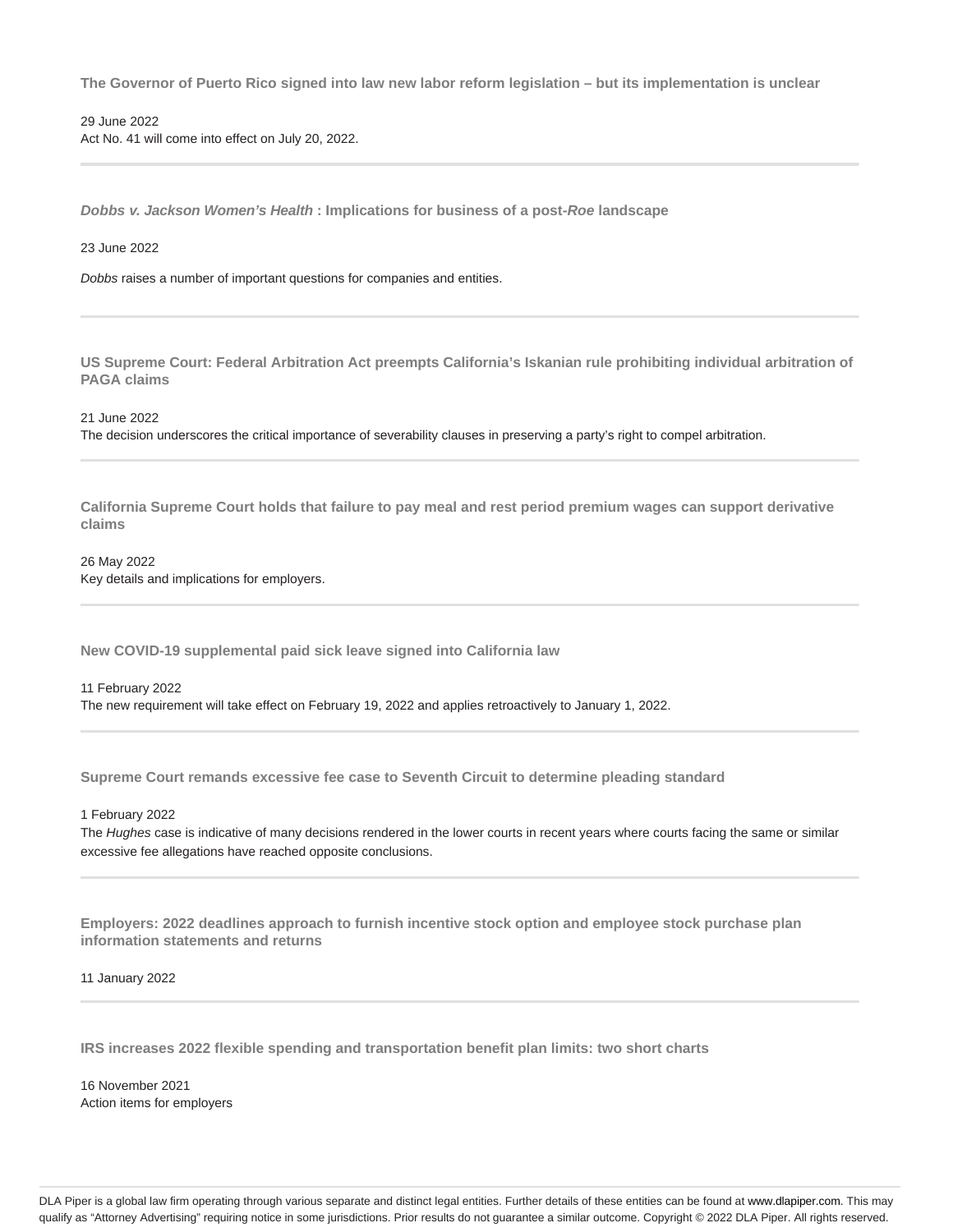**The Governor of Puerto Rico signed into law new labor reform legislation – but its implementation is unclear**

29 June 2022 Act No. 41 will come into effect on July 20, 2022.

**Dobbs v. Jackson Women's Health : Implications for business of a post-Roe landscape**

#### 23 June 2022

Dobbs raises a number of important questions for companies and entities.

**US Supreme Court: Federal Arbitration Act preempts California's Iskanian rule prohibiting individual arbitration of PAGA claims**

21 June 2022

The decision underscores the critical importance of severability clauses in preserving a party's right to compel arbitration.

**California Supreme Court holds that failure to pay meal and rest period premium wages can support derivative claims**

26 May 2022 Key details and implications for employers.

**New COVID-19 supplemental paid sick leave signed into California law**

11 February 2022 The new requirement will take effect on February 19, 2022 and applies retroactively to January 1, 2022.

**Supreme Court remands excessive fee case to Seventh Circuit to determine pleading standard**

1 February 2022

The Hughes case is indicative of many decisions rendered in the lower courts in recent years where courts facing the same or similar excessive fee allegations have reached opposite conclusions.

**Employers: 2022 deadlines approach to furnish incentive stock option and employee stock purchase plan information statements and returns**

11 January 2022

**IRS increases 2022 flexible spending and transportation benefit plan limits: two short charts**

16 November 2021 Action items for employers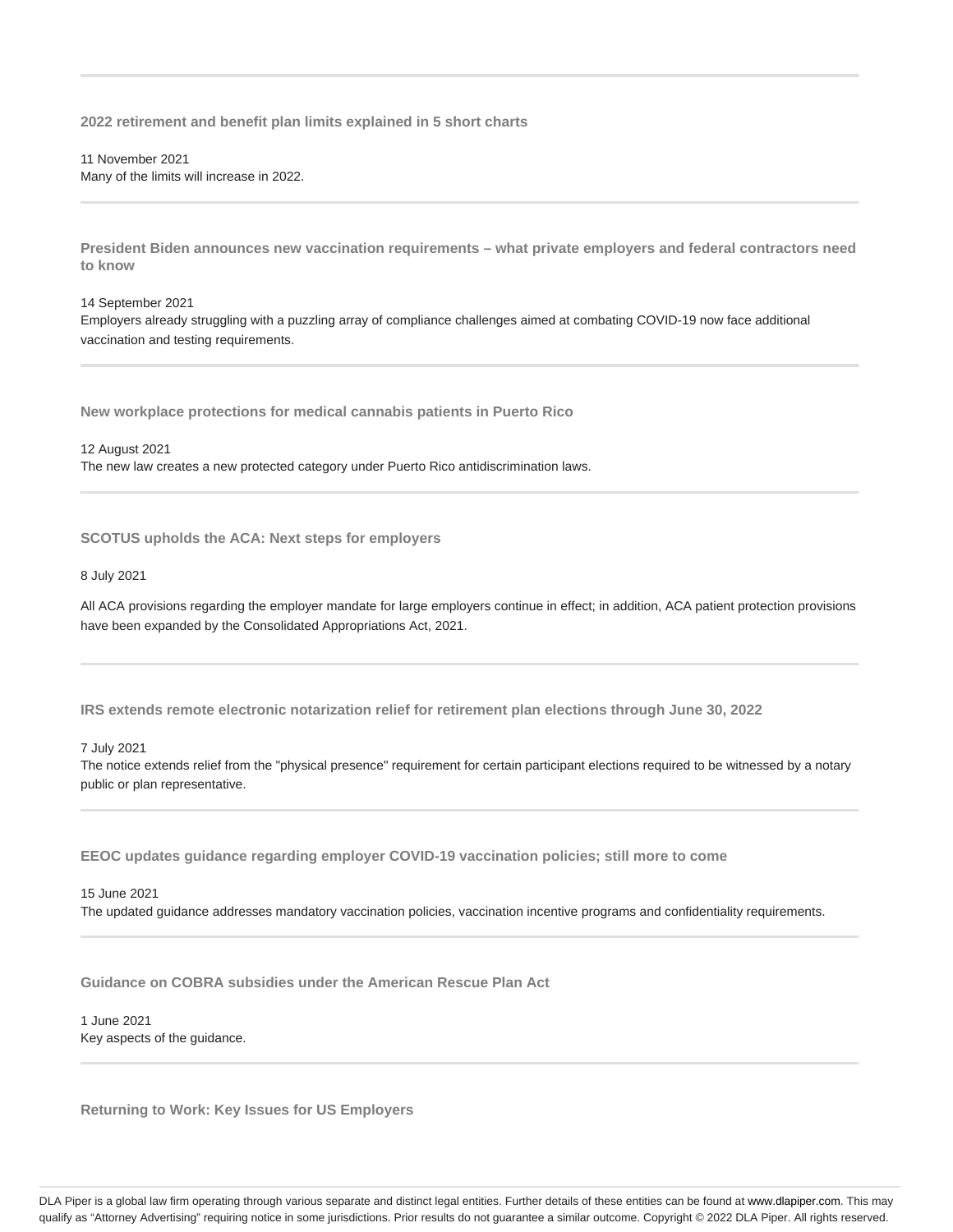**2022 retirement and benefit plan limits explained in 5 short charts**

11 November 2021 Many of the limits will increase in 2022.

**President Biden announces new vaccination requirements – what private employers and federal contractors need to know**

#### 14 September 2021

Employers already struggling with a puzzling array of compliance challenges aimed at combating COVID-19 now face additional vaccination and testing requirements.

**New workplace protections for medical cannabis patients in Puerto Rico**

12 August 2021 The new law creates a new protected category under Puerto Rico antidiscrimination laws.

**SCOTUS upholds the ACA: Next steps for employers**

8 July 2021

All ACA provisions regarding the employer mandate for large employers continue in effect; in addition, ACA patient protection provisions have been expanded by the Consolidated Appropriations Act, 2021.

**IRS extends remote electronic notarization relief for retirement plan elections through June 30, 2022**

7 July 2021

The notice extends relief from the "physical presence" requirement for certain participant elections required to be witnessed by a notary public or plan representative.

**EEOC updates guidance regarding employer COVID-19 vaccination policies; still more to come**

15 June 2021 The updated guidance addresses mandatory vaccination policies, vaccination incentive programs and confidentiality requirements.

**Guidance on COBRA subsidies under the American Rescue Plan Act**

1 June 2021 Key aspects of the guidance.

**Returning to Work: Key Issues for US Employers**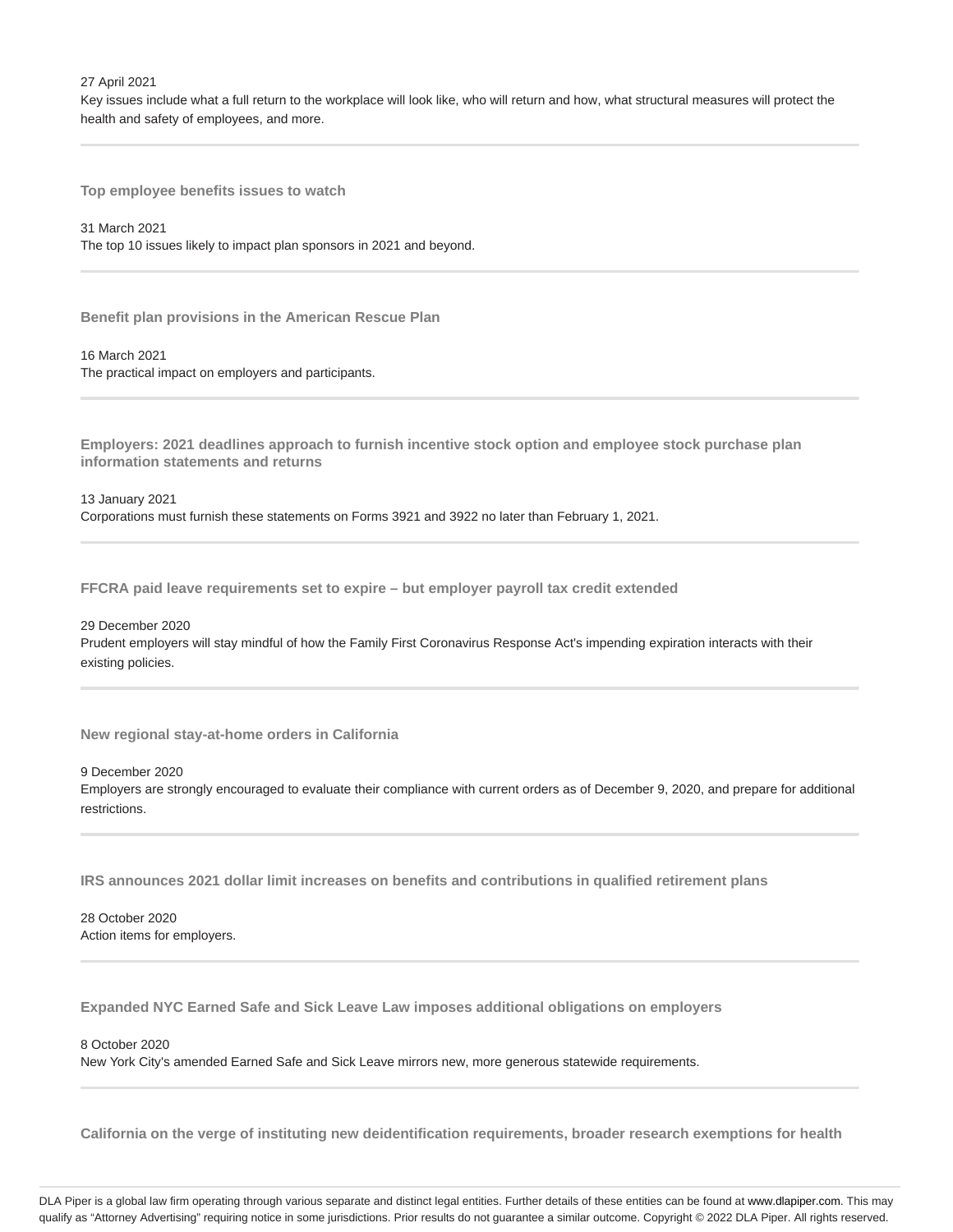27 April 2021

Key issues include what a full return to the workplace will look like, who will return and how, what structural measures will protect the health and safety of employees, and more.

**Top employee benefits issues to watch**

31 March 2021 The top 10 issues likely to impact plan sponsors in 2021 and beyond.

**Benefit plan provisions in the American Rescue Plan**

16 March 2021 The practical impact on employers and participants.

**Employers: 2021 deadlines approach to furnish incentive stock option and employee stock purchase plan information statements and returns**

13 January 2021 Corporations must furnish these statements on Forms 3921 and 3922 no later than February 1, 2021.

**FFCRA paid leave requirements set to expire – but employer payroll tax credit extended**

29 December 2020

Prudent employers will stay mindful of how the Family First Coronavirus Response Act's impending expiration interacts with their existing policies.

**New regional stay-at-home orders in California**

9 December 2020 Employers are strongly encouraged to evaluate their compliance with current orders as of December 9, 2020, and prepare for additional restrictions.

**IRS announces 2021 dollar limit increases on benefits and contributions in qualified retirement plans**

28 October 2020 Action items for employers.

**Expanded NYC Earned Safe and Sick Leave Law imposes additional obligations on employers**

8 October 2020

New York City's amended Earned Safe and Sick Leave mirrors new, more generous statewide requirements.

**California on the verge of instituting new deidentification requirements, broader research exemptions for health**

DLA Piper is a global law firm operating through various separate and distinct legal entities. Further details of these entities can be found at www.dlapiper.com. This may qualify as "Attorney Advertising" requiring notice in some jurisdictions. Prior results do not guarantee a similar outcome. Copyright @ 2022 DLA Piper. All rights reserved.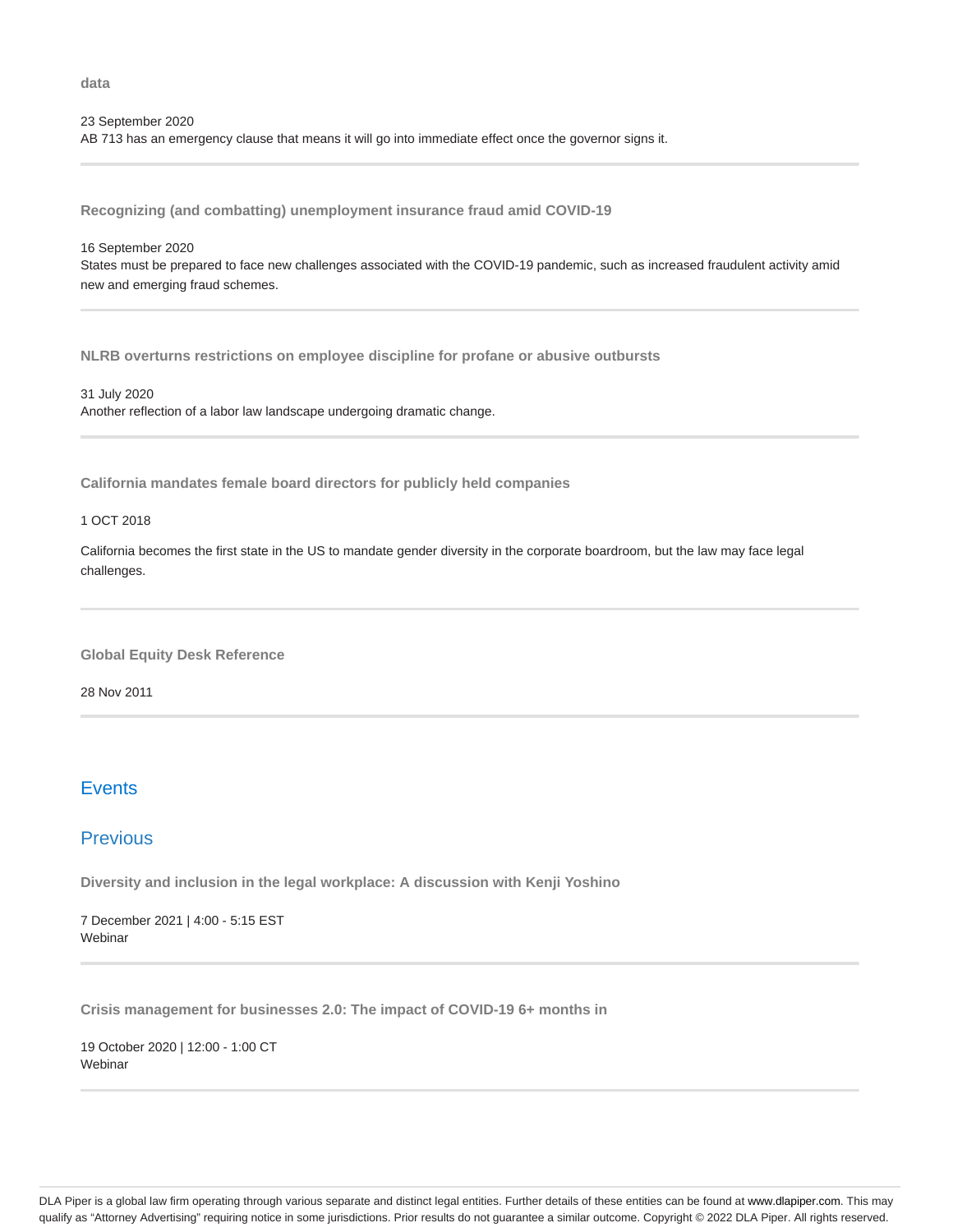**data**

#### 23 September 2020

AB 713 has an emergency clause that means it will go into immediate effect once the governor signs it.

**Recognizing (and combatting) unemployment insurance fraud amid COVID-19**

#### 16 September 2020

States must be prepared to face new challenges associated with the COVID-19 pandemic, such as increased fraudulent activity amid new and emerging fraud schemes.

**NLRB overturns restrictions on employee discipline for profane or abusive outbursts**

31 July 2020 Another reflection of a labor law landscape undergoing dramatic change.

**California mandates female board directors for publicly held companies**

#### 1 OCT 2018

California becomes the first state in the US to mandate gender diversity in the corporate boardroom, but the law may face legal challenges.

**Global Equity Desk Reference**

28 Nov 2011

## **Events**

## **Previous**

**Diversity and inclusion in the legal workplace: A discussion with Kenji Yoshino**

7 December 2021 | 4:00 - 5:15 EST **Webinar** 

**Crisis management for businesses 2.0: The impact of COVID-19 6+ months in**

19 October 2020 | 12:00 - 1:00 CT Webinar

DLA Piper is a global law firm operating through various separate and distinct legal entities. Further details of these entities can be found at www.dlapiper.com. This may qualify as "Attorney Advertising" requiring notice in some jurisdictions. Prior results do not guarantee a similar outcome. Copyright @ 2022 DLA Piper. All rights reserved.